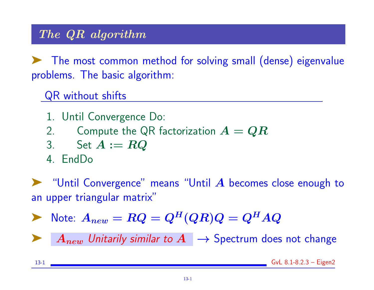#### The QR algorithm

➤ The most common method for solving small (dense) eigenvalue problems. The basic algorithm:

QR without shifts

- 1. Until Convergence Do:
- 2. Compute the QR factorization  $A = QR$

3. Set 
$$
A := RQ
$$

4. EndDo

"Until Convergence" means "Until  $\bm{A}$  becomes close enough to an upper triangular matrix"

 $\blacktriangleright$  Note:  $A_{new} = RQ = Q^H(QR)Q = Q^HAQ$ 

**EVA** Antigmular *A*  $\rightarrow$  Spectrum does not change

13-1 GvL 8.1-8.2.3 – Eigen2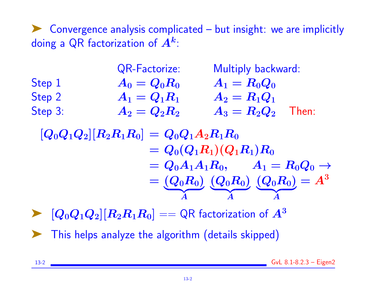➤ Convergence analysis complicated – but insight: we are implicitly doing a QR factorization of  $\bm{A^k}$ :

|         | <b>QR-Factorize:</b> | Multiply backward:       |  |  |  |
|---------|----------------------|--------------------------|--|--|--|
| Step 1  | $A_0 = Q_0 R_0$      | $A_1 = R_0 Q_0$          |  |  |  |
| Step 2  | $A_1 = Q_1 R_1$      | $A_2 = R_1 Q_1$          |  |  |  |
| Step 3: | $A_2 = Q_2 R_2$      | $A_3 = R_2 Q_2$<br>Then: |  |  |  |

- $[Q_0 Q_1 Q_2] [R_2 R_1 R_0] = Q_0 Q_1 A_2 R_1 R_0$  $= Q_0(Q_1R_1)(Q_1R_1)R_0$  $= Q_0A_1A_1R_0, \qquad A_1 = R_0Q_0 \rightarrow$  $=\left(Q_{0}R_{0}\right)$  ${\bf A}$ A  $({\boldsymbol Q}_0 {\boldsymbol R}_0)$  ${\bf A}$ A  $({\bm Q}_0 {\bm R}_0)$  ${\bf A}$ A  $= A^3$
- $[{\bm Q}_0{\bm Q}_1{\bm Q}_2] [{\bm R}_2{\bm R}_1{\bm R}_0] == \textsf{QR}$  factorization of  ${\bm A}^3$
- ➤ This helps analyze the algorithm (details skipped)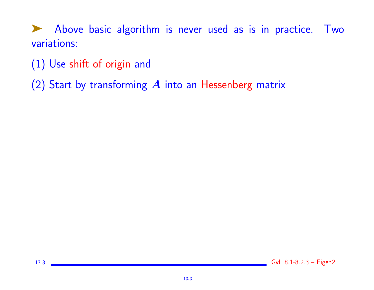▶ Above basic algorithm is never used as is in practice. Two variations:

(1) Use shift of origin and

(2) Start by transforming  $A$  into an Hessenberg matrix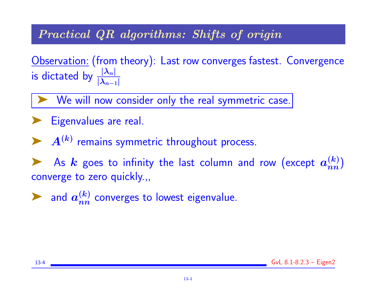#### Practical QR algorithms: Shifts of origin

Observation: (from theory): Last row converges fastest. Convergence is dictated by  $\frac{|\lambda_n|}{|\lambda_n|}$  $|\lambda_{n-1}|$ 

We will now consider only the real symmetric case.

- **Eigenvalues are real.**
- $A^{(k)}$  remains symmetric throughout process.

As  $k$  goes to infinity the last column and row (except  $a_{nn}^{(k)}$ ) converge to zero quickly.,,

in and  $a_{nn}^{(k)}$  converges to lowest eigenvalue.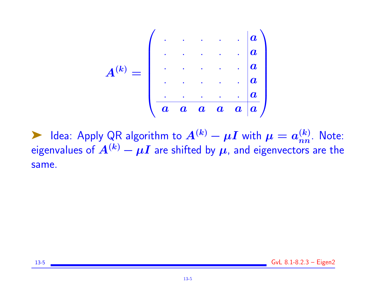

► Idea: Apply QR algorithm to  $A^{(k)} - \mu I$  with  $\mu = a_{nn}^{(k)}$ . Note: eigenvalues of  $A^{(k)}-\mu I$  are shifted by  $\mu$ , and eigenvectors are the same.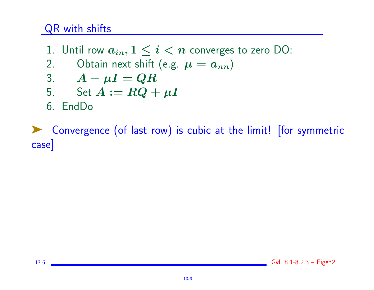## QR with shifts

- 1. Until row  $a_{in}$ ,  $1 \leq i < n$  converges to zero DO:
- 2. Obtain next shift (e.g.  $\mu = a_{nn}$ )

$$
3. \qquad A - \mu I = QR
$$

5. Set 
$$
A := RQ + \mu I
$$

6. EndDo

➤ Convergence (of last row) is cubic at the limit! [for symmetric case]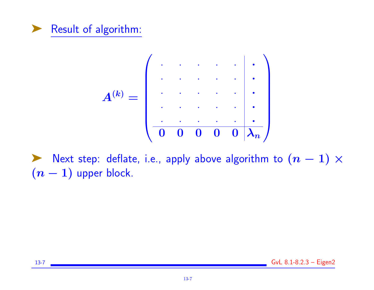



Next step: deflate, i.e., apply above algorithm to  $(n-1)\times$  $(n - 1)$  upper block.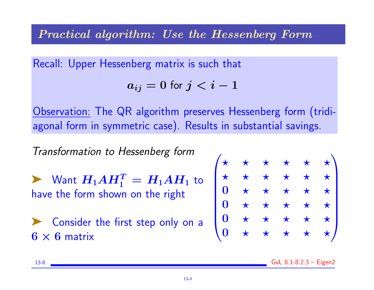#### Practical algorithm: Use the Hessenberg Form

Recall: Upper Hessenberg matrix is such that

$$
a_{ij}=0 \; \mathrm{for} \; j
$$

Observation: The QR algorithm preserves Hessenberg form (tridiagonal form in symmetric case). Results in substantial savings.

Transformation to Hessenberg form

 $\blacktriangleright$  Want  $H_1AH_1^T = H_1AH_1$  to have the form shown on the right

➤ Consider the first step only on a  $6 \times 6$  matrix

| $\mathbf{r}^{\prime}$   | $\bigstar$ | $\star$    | $\star$    | $\star$    | $\star \setminus$ |
|-------------------------|------------|------------|------------|------------|-------------------|
| $\star$                 | $\star$    | $\bigstar$ | $\bigstar$ |            | $\bigstar$        |
| $\boldsymbol{0}$        | $\bigstar$ | $\bigstar$ | $\star$    | $\bigstar$ | $\bigstar$        |
| $\boldsymbol{0}$        | $\bigstar$ | $\bigstar$ | $\star$    | $\bigstar$ | $\bigstar$        |
| $\mathbf{0}$            | $\bigstar$ | $\bigstar$ | $\star$    |            | $\bigstar$        |
| $\overline{\mathbf{0}}$ | $\bigstar$ | $\star$    | $\star$    | $\bigstar$ | $\star$ /         |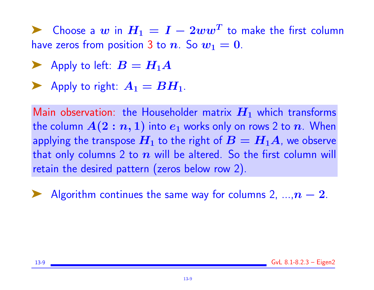▶ Choose a  $w$  in  $H_1 = I - 2ww^T$  to make the first column have zeros from position 3 to n. So  $w_1 = 0$ .

- Apply to left:  $B = H_1 A$
- Apply to right:  $A_1 = BH_1$ .

Main observation: the Householder matrix  $H_1$  which transforms the column  $A(2:n,1)$  into  $e_1$  works only on rows 2 to n. When applying the transpose  $H_1$  to the right of  $B = H_1A$ , we observe that only columns 2 to  $n$  will be altered. So the first column will retain the desired pattern (zeros below row 2).

Algorithm continues the same way for columns 2,  $..., n - 2$ .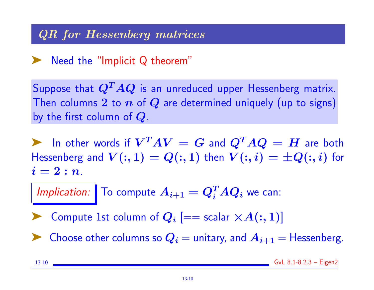#### QR for Hessenberg matrices

### ➤ Need the "Implicit Q theorem"

Suppose that  $Q^T A Q$  is an unreduced upper Hessenberg matrix. Then columns 2 to  $n$  of  $Q$  are determined uniquely (up to signs) by the first column of  $Q$ .

In other words if  $V^TAV = G$  and  $Q^TAQ = H$  are both Hessenberg and  $V(:, 1) = Q(:, 1)$  then  $V(:, i) = \pm Q(:, i)$  for  $i=2:n$ .

Implication: To compute  $A_{i+1} = Q_i^T A Q_i$  we can:

▶ Compute 1st column of  $Q_i$   $[==$  scalar  $\times A(:,1)]$ 

 $\blacktriangleright$  Choose other columns so  $Q_i =$  unitary, and  $A_{i+1} =$  Hessenberg.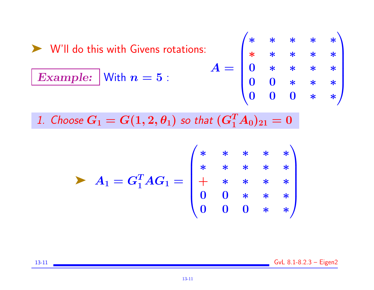► Will do this with Givens rotations:  
\n**Example:** With 
$$
n = 5
$$
:  
\n
$$
A = \begin{pmatrix} * & * & * & * & * \\ * & * & * & * & * \\ 0 & * & * & * & * \\ 0 & 0 & * & * & * \\ 0 & 0 & 0 & * & * \end{pmatrix}
$$

1. Choose  $G_1 = G(1, 2, \theta_1)$  so that  $(G_1^T A_0)_{21} = 0$ 

$$
\triangleright A_1 = G_1^T A G_1 = \begin{pmatrix} * & * & * & * & * \\ * & * & * & * & * \\ * & * & * & * & * \\ 0 & 0 & * & * & * \\ 0 & 0 & 0 & * & * \end{pmatrix}
$$

13-11 **GvL 8.1-8.2.3** – Eigen2

$$
13-11
$$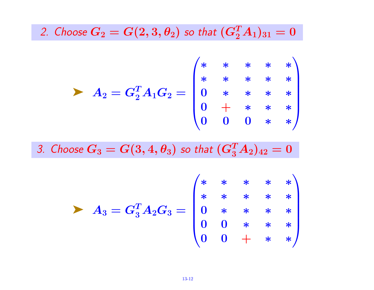2. Choose  $G_2 = G(2,3,\theta_2)$  so that  $(G_2^TA_1)_{31} = 0$ 

$$
A_2 = G_2^T A_1 G_2 = \begin{pmatrix} * & * & * & * & * \\ * & * & * & * & * \\ 0 & * & * & * & * \\ 0 & 0 & 0 & * & * \end{pmatrix}
$$

3. Choose  $G_3=G(3,4,\theta_3)$  so that  $(G_3^TA_2)_{42}=0$ 

$$
A_3 = G_3^T A_2 G_3 = \begin{pmatrix} * & * & * & * & * \\ * & * & * & * & * \\ 0 & * & * & * & * \\ 0 & 0 & * & * & * \\ 0 & 0 & + & * & * \end{pmatrix}
$$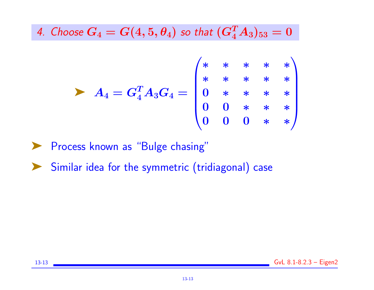4. Choose  $G_4 = G(4, 5, \theta_4)$  so that  $(G_4^TA_3)_{53} = 0$ 

$$
\triangleright A_4 = G_4^T A_3 G_4 = \begin{pmatrix} * & * & * & * & * \\ * & * & * & * & * \\ 0 & * & * & * & * \\ 0 & 0 & * & * & * \\ 0 & 0 & 0 & * & * \end{pmatrix}
$$

▶ Process known as "Bulge chasing"

▶ Similar idea for the symmetric (tridiagonal) case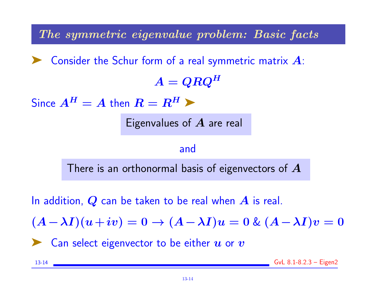The symmetric eigenvalue problem: Basic facts

 $\blacktriangleright$  Consider the Schur form of a real symmetric matrix  $A$ :

 $A = QRQ^H$ 

Since  $A^H = A$  then  $R = R^H$ 

Eigenvalues of  $\boldsymbol{A}$  are real

#### and

There is an orthonormal basis of eigenvectors of  $\boldsymbol{A}$ 

In addition,  $Q$  can be taken to be real when  $A$  is real.

 $(A-\lambda I)(u+iv) = 0 \rightarrow (A-\lambda I)u = 0$  &  $(A-\lambda I)v = 0$ 

 $\blacksquare$  Can select eigenvector to be either  $\boldsymbol{u}$  or  $\boldsymbol{v}$ 

13-14 GvL 8.1-8.2.3 – Eigen2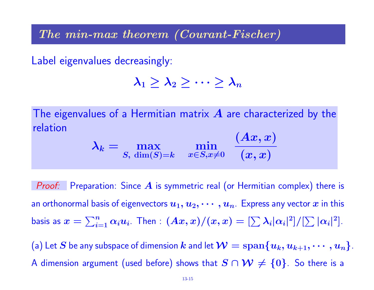The min-max theorem (Courant-Fischer)

Label eigenvalues decreasingly:

$$
\lambda_1\geq \lambda_2\geq \cdots \geq \lambda_n
$$

The eigenvalues of a Hermitian matrix  $\boldsymbol{A}$  are characterized by the relation  $(Ax, x)$ 

$$
\lambda_k = \max_{S, \dim(S) = k} \min_{x \in S, x \neq 0} \frac{(Ax, x)}{(x, x)}
$$

**Proof:** Preparation: Since  $\boldsymbol{A}$  is symmetric real (or Hermitian complex) there is an orthonormal basis of eigenvectors  $u_1, u_2, \cdots, u_n$ . Express any vector  $x$  in this basis as  $x=\sum_{i=1}^n\alpha_iu_i$ . Then  $:(Ax,x)/(x,x)=[\sum\lambda_i|\alpha_i|^2]/[\sum|\alpha_i|^2].$ 

(a) Let S be any subspace of dimension k and let  $\mathcal{W} = \text{span}\{u_k, u_{k+1}, \cdots, u_n\}.$ A dimension argument (used before) shows that  $S \cap \mathcal{W} \neq \{0\}$ . So there is a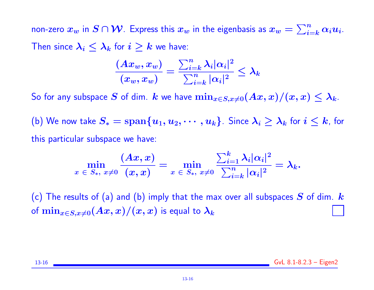non-zero  $x_w$  in  $S \cap \mathcal{W}$ . Express this  $x_w$  in the eigenbasis as  $x_w = \sum_{i=k}^n \alpha_i u_i$ . Then since  $\lambda_i \leq \lambda_k$  for  $i \geq k$  we have:

$$
\frac{(Ax_w,x_w)}{(x_w,x_w)}=\frac{\sum_{i=k}^n\lambda_i|\alpha_i|^2}{\sum_{i=k}^n|\alpha_i|^2}\leq\lambda_k
$$

So for any subspace S of dim.  $k$  we have  $\min_{x \in S, x \neq 0} (Ax, x)/(x, x) \leq \lambda_k$ .

(b) We now take  $S_* = \text{span}\{u_1, u_2, \cdots, u_k\}$ . Since  $\lambda_i \geq \lambda_k$  for  $i \leq k$ , for this particular subspace we have:

$$
\min_{x\;\in\;S_*,\;x\ne 0}\frac{(Ax,x)}{(x,x)}=\min_{x\;\in\;S_*,\;x\ne 0}\frac{\sum_{i=1}^k\lambda_i|\alpha_i|^2}{\sum_{i=k}^n|\alpha_i|^2}=\lambda_k.
$$

(c) The results of (a) and (b) imply that the max over all subspaces  $S$  of dim.  $k$ of  $\min_{x\in S, x\neq 0}(Ax,x)/(x,x)$  is equal to  $\lambda_k$ 

13-16 GvL 8.1-8.2.3 – Eigen2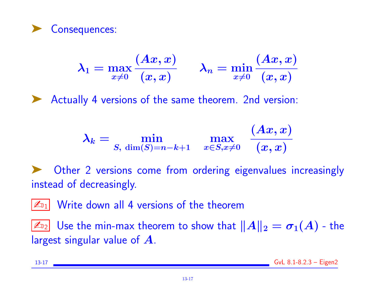

$$
\lambda_1=\max_{x\neq 0}\frac{(Ax,x)}{(x,x)}\qquad \lambda_n=\min_{x\neq 0}\frac{(Ax,x)}{(x,x)}
$$

➤ Actually 4 versions of the same theorem. 2nd version:

$$
\lambda_k = \min_{S, \ \dim(S) = n-k+1} \quad \max_{x \in S, x \neq 0} \ \frac{(Ax, x)}{(x, x)}
$$

Other 2 versions come from ordering eigenvalues increasingly instead of decreasingly.

 $|\mathcal{L}_{1}|$  Write down all 4 versions of the theorem

 $\mathbb{Z}_{22}$  Use the min-max theorem to show that  $\|A\|_2 = \sigma_1(A)$  - the largest singular value of A.

13-17 GvL 8.1-8.2.3 – Eigen2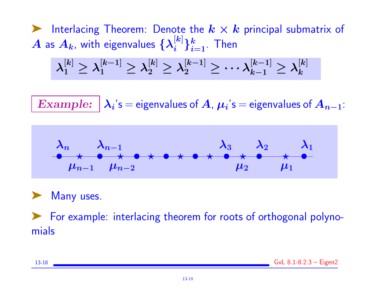ighth Interlacing Theorem: Denote the  $k \times k$  principal submatrix of  $\bm{A}$  as  $\bm{A_k}$ , with eigenvalues  $\{\bm{\lambda_i^{[k]}}$  $\{ \boldsymbol{k}^{\parallel k} \}_{i=1}^{k}.$  Then

$$
\lambda_1^{[k]}\geq\lambda_1^{[k-1]}\geq\lambda_2^{[k]}\geq\lambda_2^{[k-1]}\geq\cdots\lambda_{k-1}^{[k-1]}\geq\lambda_k^{[k]}
$$

 $\boldsymbol{Example:} \ \big| \ \boldsymbol{\lambda_i} \text{'s} = \text{eigenvalues of } \boldsymbol{A}$  ,  $\boldsymbol{\mu_i} \text{'s} = \text{eigenvalues of } \boldsymbol{A_{n-1}} \text{:}$ 





➤ For example: interlacing theorem for roots of orthogonal polynomials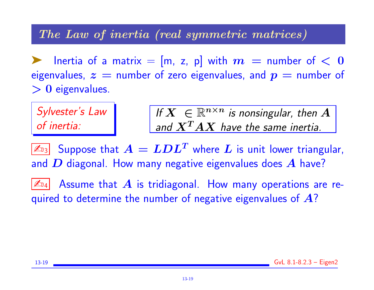#### The Law of inertia (real symmetric matrices)

Inertia of a matrix =  $[m, z, p]$  with  $m =$  number of  $< 0$ eigenvalues,  $z =$  number of zero eigenvalues, and  $p =$  number of  $> 0$  eigenvalues.

Sylvester's Law of inertia:

If  $X \in \mathbb{R}^{n \times n}$  is nonsingular, then  $A$ and  $\boldsymbol{X^T A X}$  have the same inertia.

 $\boxed{\mathbb{Z}_{\text{B3}}}$  Suppose that  $A = LDL^T$  where  $L$  is unit lower triangular, and  $\bm{D}$  diagonal. How many negative eigenvalues does  $\bm{A}$  have?

 $|\mathbb{Z}_{^{14}}|$  Assume that  $\bm{A}$  is tridiagonal. How many operations are required to determine the number of negative eigenvalues of  $A$ ?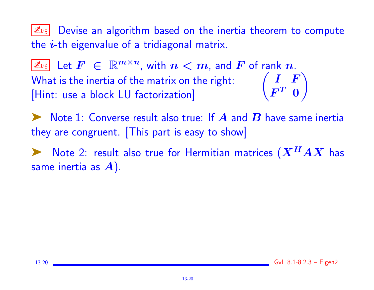$|\mathcal{L}_{15}|$  Devise an algorithm based on the inertia theorem to compute the  $i$ -th eigenvalue of a tridiagonal matrix.

 $|\mathbb{A}_6|$  Let  $F~\in~\mathbb{R}^{m\times n}$ , with  $n < m$ , and  $F$  of rank  $n$ . What is the inertia of the matrix on the right: [Hint: use a block LU factorization] I F  $\bm{F^T}$  O  $\setminus$ 

Note 1: Converse result also true: If  $\boldsymbol{A}$  and  $\boldsymbol{B}$  have same inertia they are congruent. [This part is easy to show]

 $\blacktriangleright$  Note 2: result also true for Hermitian matrices  $(X^HAX$  has same inertia as  $A$ ).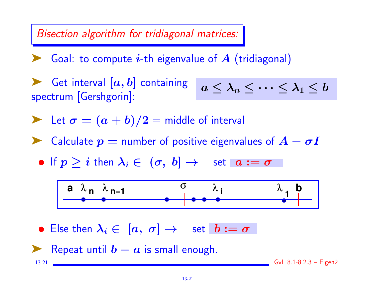Bisection algorithm for tridiagonal matrices:

 $\blacktriangleright$  Goal: to compute *i*-th eigenvalue of A (tridiagonal)

Get interval  $[a, b]$  containing spectrum [Gershgorin]:

$$
a\leq \lambda_n\leq \cdots \leq \lambda_1\leq b
$$

Let 
$$
\sigma = (a + b)/2
$$
 = middle of interval

 $\blacktriangleright$  Calculate  $p =$  number of positive eigenvalues of  $A - \sigma I$ 

• If  $p > i$  then  $\lambda_i \in (\sigma, b] \rightarrow$  set  $a := \sigma$ 



• Else then  $\lambda_i \in [a, \sigma] \rightarrow$  set  $b := \sigma$ 

Repeat until  $b - a$  is small enough.

13-21 GvL 8.1-8.2.3 – Eigen2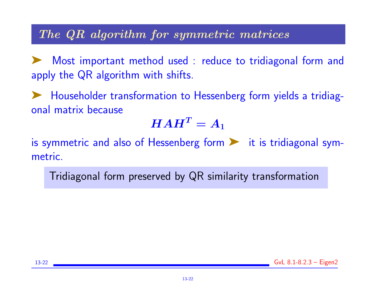#### The QR algorithm for symmetric matrices

Most important method used : reduce to tridiagonal form and apply the QR algorithm with shifts.

➤ Householder transformation to Hessenberg form yields a tridiagonal matrix because

# $\boldsymbol{H}\boldsymbol{A}\boldsymbol{H^T}=\boldsymbol{A}_1$

is symmetric and also of Hessenberg form  $\blacktriangleright$  it is tridiagonal symmetric.

Tridiagonal form preserved by QR similarity transformation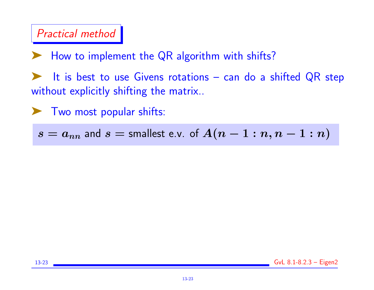## Practical method

How to implement the QR algorithm with shifts?

It is best to use Givens rotations - can do a shifted QR step without explicitly shifting the matrix..

➤ Two most popular shifts:

 $s = a_{nn}$  and  $s =$  smallest e.v. of  $A(n-1:n, n-1:n)$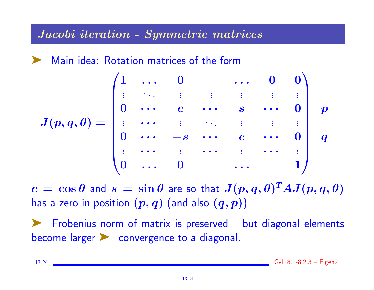#### Jacobi iteration - Symmetric matrices

Main idea: Rotation matrices of the form

$$
J(p,q,\theta)=\begin{pmatrix}1&\dots &0& &\dots &0&0\\ \vdots &\ddots &\vdots &\vdots &\vdots &\vdots &\vdots\\ 0&\cdots &c&\cdots &s&\cdots &0\\ \vdots &\cdots &\vdots &\ddots &\vdots &\vdots &\vdots \\ 0&\cdots &-s&\cdots &c&\cdots &0\\ \vdots &\cdots &\vdots &\cdots &\vdots &\cdots &\vdots \\ 0&\cdots &0& &\cdots &1\end{pmatrix}\begin{matrix}0&\\p&\\q&\\&\\&\\&&1\end{matrix}
$$

 $c\,=\,\cos\theta$  and  $s\,=\,\sin\theta$  are so that  $J(p,q,\theta)^TAJ(p,q,\theta)$ has a zero in position  $(p, q)$  (and also  $(q, p)$ )

Frobenius norm of matrix is preserved - but diagonal elements become larger > convergence to a diagonal.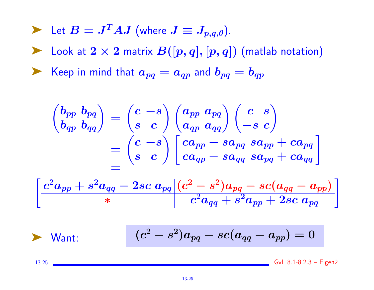- Let  $B = J^T AJ$  (where  $J \equiv J_{p,q,\theta}$ ).
- ▶ Look at  $2 \times 2$  matrix  $B([p,q],[p,q])$  (matlab notation)

Example 10 Keep in mind that  $a_{pq} = a_{qp}$  and  $b_{pq} = b_{qp}$ 

$$
\begin{aligned} \begin{pmatrix} b_{pp} & b_{pq} \\ b_{qp} & b_{qq} \end{pmatrix} &= \begin{pmatrix} c & -s \\ s & c \end{pmatrix} \begin{pmatrix} a_{pp} & a_{pq} \\ a_{qp} & a_{qq} \end{pmatrix} \begin{pmatrix} c & s \\ -s & c \end{pmatrix} \\ &= \begin{pmatrix} c & -s \\ s & c \end{pmatrix} \begin{bmatrix} ca_{pp} - sa_{pq} \vert sa_{pp} + ca_{pq} \\ ca_{qp} - sa_{qq} \vert sa_{pq} + ca_{qq} \end{bmatrix} \\ &= \begin{pmatrix} s & s \\ s & s \end{pmatrix} \begin{bmatrix} a_{pp} - sa_{pq} \vert sa_{pq} + ca_{qq} \end{bmatrix} \end{aligned}
$$

$$
\left[ \frac{c^2 a_{pp} + s^2 a_{qq} - 2 s c \; a_{pq} \left| (c^2 - s^2) a_{pq} - s c (a_{qq} - a_{pp}) \right|} {c^2 a_{qq} + s^2 a_{pp} + 2 s c \; a_{pq} } \right]
$$

$$
\triangleright \text{Want: } (c^2 - s^2)a_{pq} - sc(a_{qq} - a_{pp}) = 0
$$

13-25 GvL 8.1-8.2.3 – Eigen2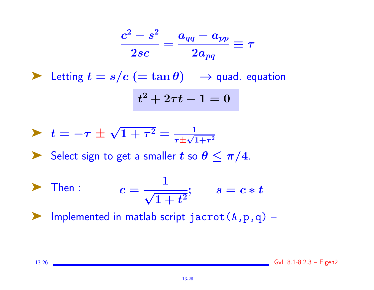$$
\frac{c^2-s^2}{2sc}=\frac{a_{qq}-a_{pp}}{2a_{pq}}\equiv \tau
$$

Extring  $t = s/c$  (= tan  $\theta$ )  $\rightarrow$  quad. equation  $t^2+2\tau t-1=0$ 

$$
\blacktriangleright \hspace{0.2cm} t=-\tau \pm \sqrt{1+\tau^2}=\tfrac{1}{\tau \pm \sqrt{1+\tau^2}}
$$

Select sign to get a smaller t so  $\theta \leq \pi/4$ .

$$
\blacktriangleright \quad \text{Then} \quad c = \frac{1}{\sqrt{1+t^2}}; \qquad s = c*t
$$

 $\blacktriangleright$  Implemented in matlab script jacrot  $(A,p,q)$  –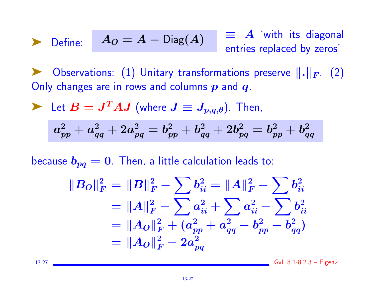## Define:  $A_O = A - \text{Diag}(A)$   $\equiv$   $\stackrel{\text{4}}{=}$   $\stackrel{\text{4}}{=}$   $\stackrel{\text{4}}{=}$   $\stackrel{\text{4}}{=}$   $\stackrel{\text{5}}{=}$   $\stackrel{\text{6}}{=}$ entries replaced by zeros'

Observations: (1) Unitary transformations preserve  $\|\cdot\|_F$ . (2) Only changes are in rows and columns  $p$  and  $q$ .

Let 
$$
B = J^T A J
$$
 (where  $J \equiv J_{p,q,\theta}$ ). Then,

$$
a_{pp}^2 + a_{qq}^2 + 2 a_{pq}^2 = b_{pp}^2 + b_{qq}^2 + 2 b_{pq}^2 = b_{pp}^2 + b_{qq}^2 \,\,
$$

because  $b_{pq} = 0$ . Then, a little calculation leads to:

$$
||B_O||_F^2 = ||B||_F^2 - \sum b_{ii}^2 = ||A||_F^2 - \sum b_{ii}^2
$$
  
=  $||A||_F^2 - \sum a_{ii}^2 + \sum a_{ii}^2 - \sum b_{ii}^2$   
=  $||A_O||_F^2 + (a_{pp}^2 + a_{qq}^2 - b_{pp}^2 - b_{qq}^2)$   
=  $||A_O||_F^2 - 2a_{pq}^2$ 

13-27 GvL 8.1-8.2.3 – Eigen2